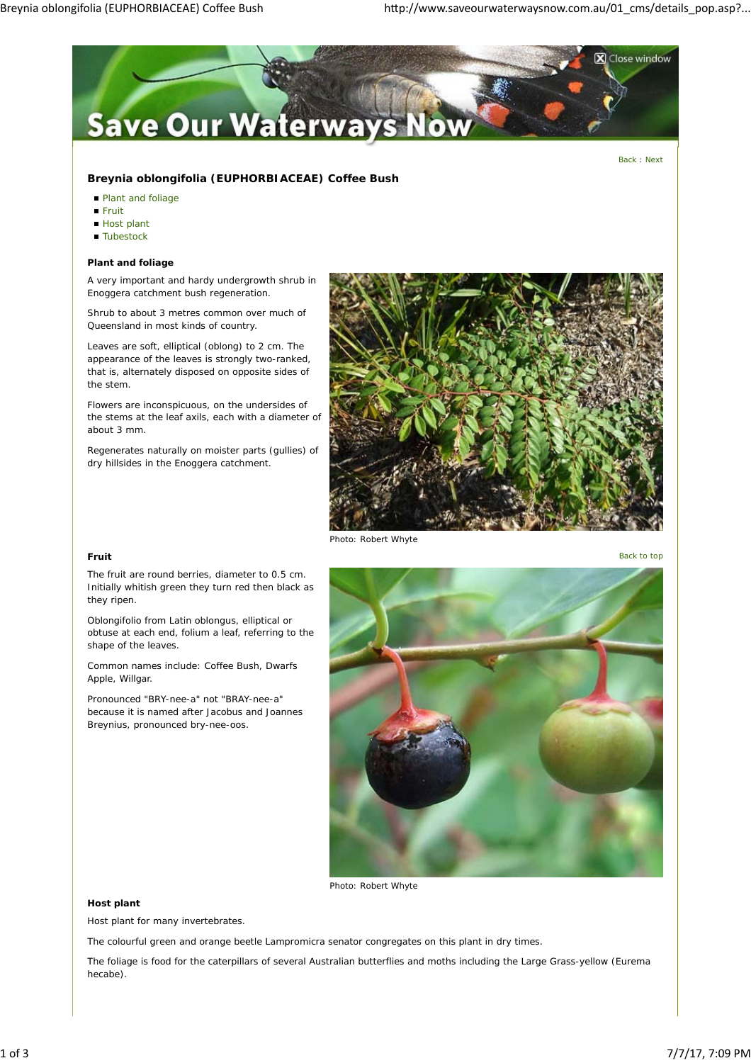

Back : Next

# **Breynia oblongifolia (EUPHORBIACEAE) Coffee Bush**

- **Plant and foliage**
- Fruit
- Host plant
- **Tubestock**

### **Plant and foliage**

A very important and hardy undergrowth shrub in Enoggera catchment bush regeneration.

Shrub to about 3 metres common over much of Queensland in most kinds of country.

Leaves are soft, elliptical (oblong) to 2 cm. The appearance of the leaves is strongly two-ranked, that is, alternately disposed on opposite sides of the stem.

Flowers are inconspicuous, on the undersides of the stems at the leaf axils, each with a diameter of about 3 mm.

Regenerates naturally on moister parts (gullies) of dry hillsides in the Enoggera catchment.



*Photo: Robert Whyte*

**Fruit** Back to top

The fruit are round berries, diameter to 0.5 cm. Initially whitish green they turn red then black as they ripen.

Oblongifolio from Latin oblongus, elliptical or obtuse at each end, folium a leaf, referring to the shape of the leaves.

Common names include: Coffee Bush, Dwarfs Apple, Willgar.

Pronounced "BRY-nee-a" not "BRAY-nee-a" because it is named after Jacobus and Joannes Breynius, pronounced bry-nee-oos.



*Photo: Robert Whyte*

## **Host plant**

Host plant for many invertebrates.

The colourful green and orange beetle Lampromicra senator congregates on this plant in dry times.

The foliage is food for the caterpillars of several Australian butterflies and moths including the Large Grass-yellow (Eurema hecabe).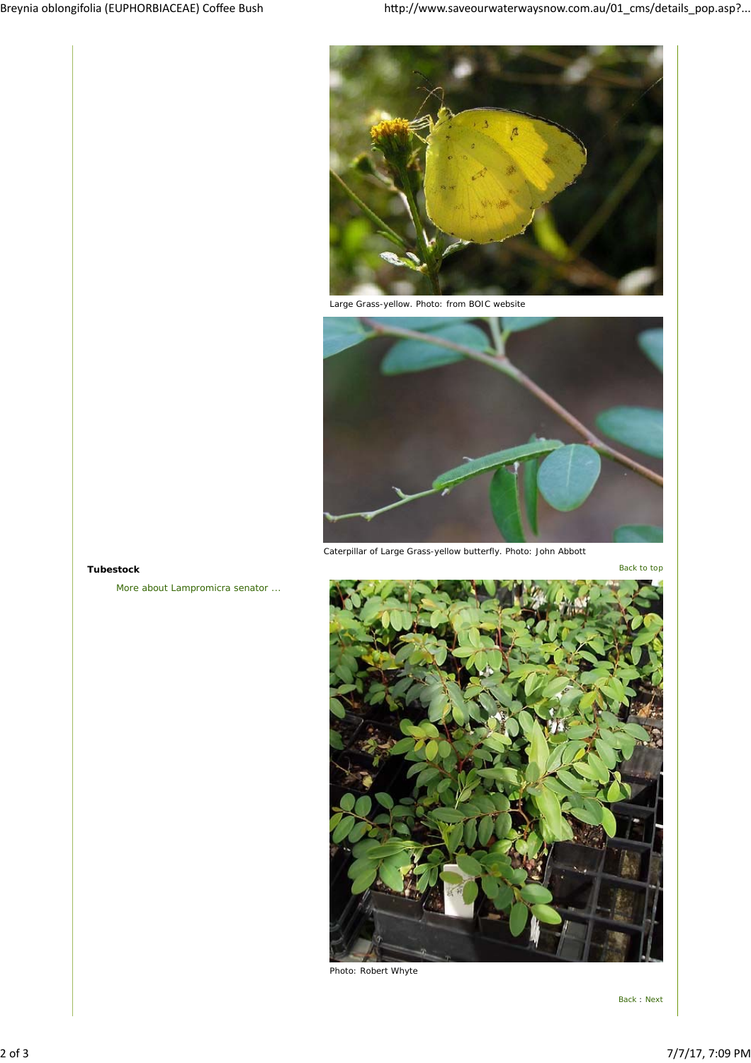

*Large Grass-yellow. Photo: from BOIC website*



*Caterpillar of Large Grass-yellow butterfly. Photo: John Abbott*

More about Lampromicra senator ...



*Photo: Robert Whyte*

Back : Next